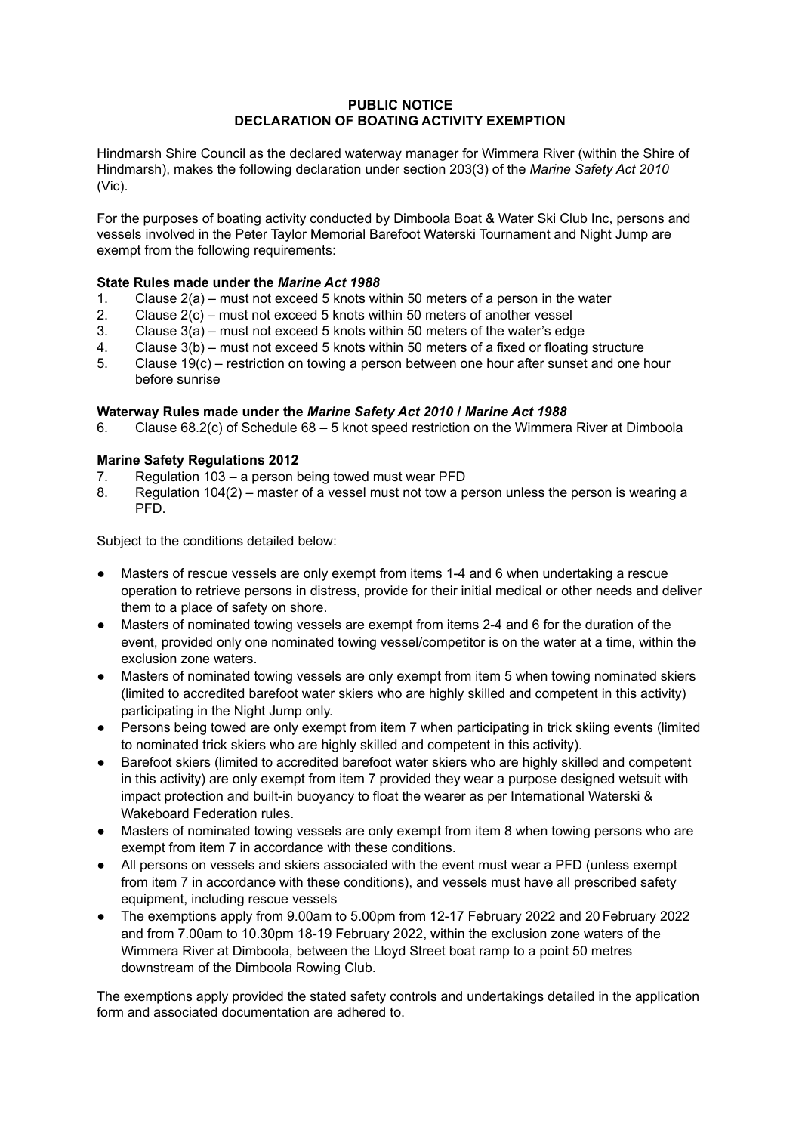## **PUBLIC NOTICE DECLARATION OF BOATING ACTIVITY EXEMPTION**

Hindmarsh Shire Council as the declared waterway manager for Wimmera River (within the Shire of Hindmarsh), makes the following declaration under section 203(3) of the *Marine Safety Act 2010* (Vic).

For the purposes of boating activity conducted by Dimboola Boat & Water Ski Club Inc, persons and vessels involved in the Peter Taylor Memorial Barefoot Waterski Tournament and Night Jump are exempt from the following requirements:

## **State Rules made under the** *Marine Act 1988*

- 1. Clause 2(a) must not exceed 5 knots within 50 meters of a person in the water
- 2. Clause 2(c) must not exceed 5 knots within 50 meters of another vessel
- 3. Clause 3(a) must not exceed 5 knots within 50 meters of the water's edge
- 4. Clause 3(b) must not exceed 5 knots within 50 meters of a fixed or floating structure
- 5. Clause 19(c) restriction on towing a person between one hour after sunset and one hour before sunrise

## **Waterway Rules made under the** *Marine Safety Act 2010* **/** *Marine Act 1988*

6. Clause 68.2(c) of Schedule 68 – 5 knot speed restriction on the Wimmera River at Dimboola

## **Marine Safety Regulations 2012**

- 7. Regulation 103 a person being towed must wear PFD
- 8. Regulation 104(2) master of a vessel must not tow a person unless the person is wearing a PFD.

Subject to the conditions detailed below:

- Masters of rescue vessels are only exempt from items 1-4 and 6 when undertaking a rescue operation to retrieve persons in distress, provide for their initial medical or other needs and deliver them to a place of safety on shore.
- Masters of nominated towing vessels are exempt from items 2-4 and 6 for the duration of the event, provided only one nominated towing vessel/competitor is on the water at a time, within the exclusion zone waters.
- Masters of nominated towing vessels are only exempt from item 5 when towing nominated skiers (limited to accredited barefoot water skiers who are highly skilled and competent in this activity) participating in the Night Jump only.
- Persons being towed are only exempt from item 7 when participating in trick skiing events (limited to nominated trick skiers who are highly skilled and competent in this activity).
- Barefoot skiers (limited to accredited barefoot water skiers who are highly skilled and competent in this activity) are only exempt from item 7 provided they wear a purpose designed wetsuit with impact protection and built-in buoyancy to float the wearer as per International Waterski & Wakeboard Federation rules.
- Masters of nominated towing vessels are only exempt from item 8 when towing persons who are exempt from item 7 in accordance with these conditions.
- All persons on vessels and skiers associated with the event must wear a PFD (unless exempt from item 7 in accordance with these conditions), and vessels must have all prescribed safety equipment, including rescue vessels
- The exemptions apply from 9.00am to 5.00pm from 12-17 February 2022 and 20 February 2022 and from 7.00am to 10.30pm 18-19 February 2022, within the exclusion zone waters of the Wimmera River at Dimboola, between the Lloyd Street boat ramp to a point 50 metres downstream of the Dimboola Rowing Club.

The exemptions apply provided the stated safety controls and undertakings detailed in the application form and associated documentation are adhered to.